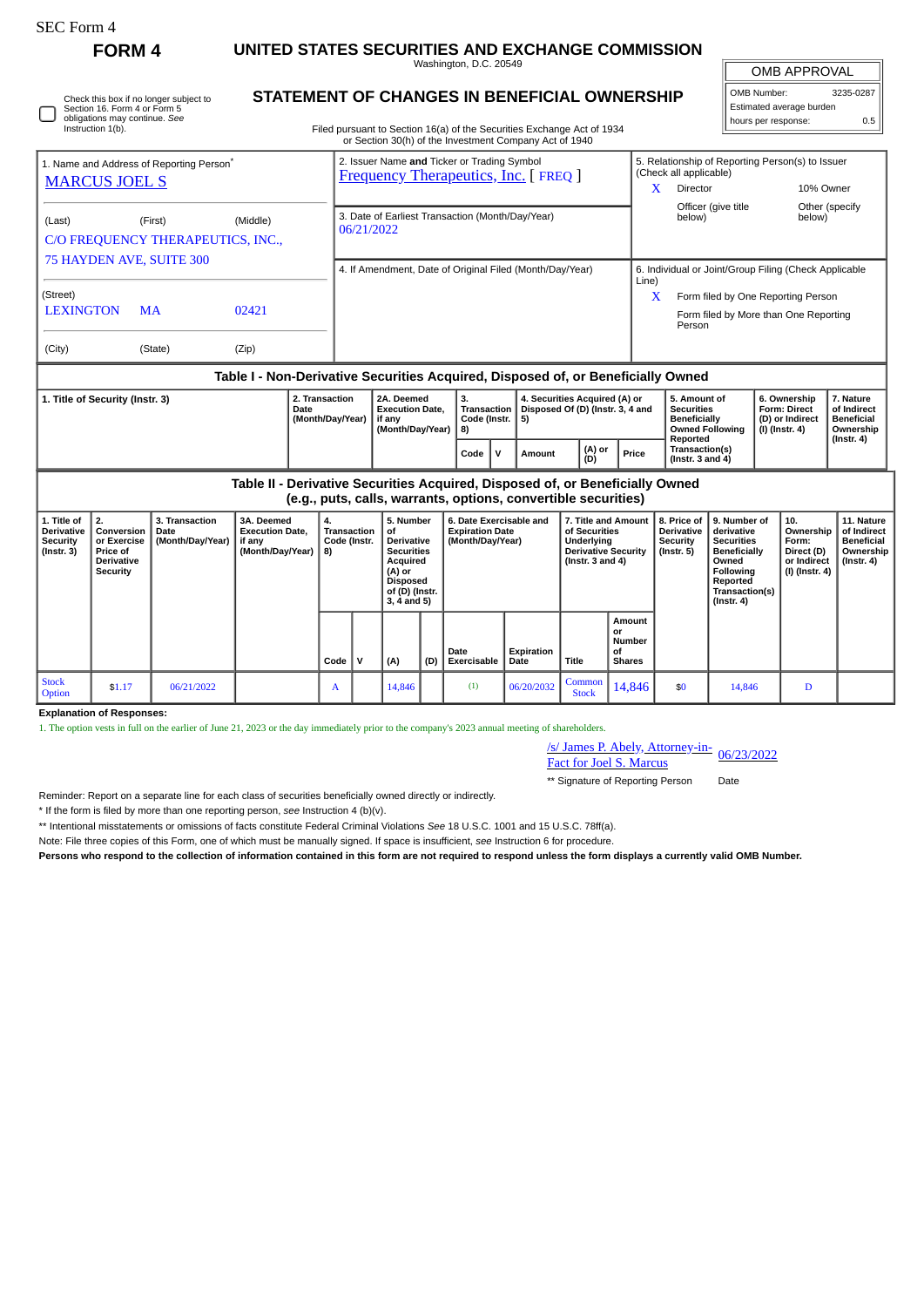$\Box$ 

Stock<br>Option

**Explanation of Responses:**

| RM |  |
|----|--|
|----|--|

## **FORM 4 UNITED STATES SECURITIES AND EXCHANGE COMMISSION**

Washington, D.C. 20549 **STATEMENT OF CHANGES IN BENEFICIAL OWNERSHIP**

OMB APPROVAL OMB Number: 3235-0287

Estimated average burden hours per response: 0.5

|                                                                                | Section 16. Form 4 or Form 5<br>obligations may continue. See<br>Instruction 1(b). | Check this box if no longer subject to       |                                                                    |                                                                                            |                                                                    | STATEMENT OF CHANGES IN BENEFICIAL OWNERSHIP<br>Filed pursuant to Section 16(a) of the Securities Exchange Act of 1934<br>or Section 30(h) of the Investment Company Act of 1940                              |                                            |   |                         |  |                                                                                                        |                                                                                                                                                                         |                                                                         |                                                                                                                                                | hours per response:      | Estimated average burden                                                 | 0.5                                                                             |
|--------------------------------------------------------------------------------|------------------------------------------------------------------------------------|----------------------------------------------|--------------------------------------------------------------------|--------------------------------------------------------------------------------------------|--------------------------------------------------------------------|---------------------------------------------------------------------------------------------------------------------------------------------------------------------------------------------------------------|--------------------------------------------|---|-------------------------|--|--------------------------------------------------------------------------------------------------------|-------------------------------------------------------------------------------------------------------------------------------------------------------------------------|-------------------------------------------------------------------------|------------------------------------------------------------------------------------------------------------------------------------------------|--------------------------|--------------------------------------------------------------------------|---------------------------------------------------------------------------------|
| 1. Name and Address of Reporting Person <sup>®</sup><br><b>MARCUS JOEL S</b>   |                                                                                    |                                              |                                                                    | 2. Issuer Name and Ticker or Trading Symbol<br><b>Frequency Therapeutics, Inc. [FREQ ]</b> |                                                                    |                                                                                                                                                                                                               |                                            |   |                         |  |                                                                                                        | (Check all applicable)<br>X<br>Director                                                                                                                                 |                                                                         | 5. Relationship of Reporting Person(s) to Issuer<br>10% Owner                                                                                  |                          |                                                                          |                                                                                 |
| (Last)                                                                         |                                                                                    | (First)<br>C/O FREQUENCY THERAPEUTICS, INC., | (Middle)                                                           |                                                                                            | 3. Date of Earliest Transaction (Month/Day/Year)<br>06/21/2022     |                                                                                                                                                                                                               |                                            |   |                         |  |                                                                                                        | Officer (give title<br>below)                                                                                                                                           |                                                                         |                                                                                                                                                | Other (specify<br>below) |                                                                          |                                                                                 |
| 75 HAYDEN AVE, SUITE 300<br>(Street)<br><b>LEXINGTON</b><br>02421<br><b>MA</b> |                                                                                    |                                              |                                                                    | 4. If Amendment, Date of Original Filed (Month/Day/Year)                                   |                                                                    |                                                                                                                                                                                                               |                                            |   |                         |  |                                                                                                        | 6. Individual or Joint/Group Filing (Check Applicable<br>Line)<br>$\mathbf{x}$<br>Form filed by One Reporting Person<br>Form filed by More than One Reporting<br>Person |                                                                         |                                                                                                                                                |                          |                                                                          |                                                                                 |
| (City)                                                                         |                                                                                    | (State)                                      | (Zip)                                                              |                                                                                            |                                                                    |                                                                                                                                                                                                               |                                            |   |                         |  |                                                                                                        |                                                                                                                                                                         |                                                                         |                                                                                                                                                |                          |                                                                          |                                                                                 |
| 2. Transaction<br>1. Title of Security (Instr. 3)<br>Date<br>(Month/Day/Year)  |                                                                                    |                                              |                                                                    |                                                                                            | 2A. Deemed<br><b>Execution Date,</b><br>if any<br>(Month/Day/Year) | Table I - Non-Derivative Securities Acquired, Disposed of, or Beneficially Owned<br>3.<br>4. Securities Acquired (A) or<br>Disposed Of (D) (Instr. 3, 4 and<br><b>Transaction</b><br>Code (Instr.<br>5)<br>8) |                                            |   |                         |  |                                                                                                        | 5. Amount of<br><b>Securities</b><br><b>Beneficially</b><br><b>Owned Following</b>                                                                                      |                                                                         | 6. Ownership<br>Form: Direct<br>(D) or Indirect<br>$(I)$ (Instr. 4)                                                                            |                          | 7. Nature<br>of Indirect<br><b>Beneficial</b><br>Ownership               |                                                                                 |
|                                                                                |                                                                                    |                                              |                                                                    |                                                                                            |                                                                    |                                                                                                                                                                                                               | Code                                       | v | Amount                  |  | (A) or<br>(D)                                                                                          | Price                                                                                                                                                                   | Reported<br>Transaction(s)<br>(Instr. $3$ and $4$ )                     |                                                                                                                                                |                          |                                                                          | $($ Instr. 4 $)$                                                                |
|                                                                                |                                                                                    |                                              |                                                                    |                                                                                            |                                                                    | Table II - Derivative Securities Acquired, Disposed of, or Beneficially Owned<br>(e.g., puts, calls, warrants, options, convertible securities)                                                               |                                            |   |                         |  |                                                                                                        |                                                                                                                                                                         |                                                                         |                                                                                                                                                |                          |                                                                          |                                                                                 |
| 1. Title of<br><b>Derivative</b><br>Security<br>$($ Instr. 3 $)$               | 2.<br>Conversion<br>or Exercise<br>Price of<br><b>Derivative</b><br>Security       | 3. Transaction<br>Date<br>(Month/Day/Year)   | 3A. Deemed<br><b>Execution Date.</b><br>if any<br>(Month/Day/Year) | 4.<br>8)                                                                                   | <b>Transaction</b><br>Code (Instr.                                 | 5. Number<br>οf<br><b>Derivative</b><br><b>Securities</b><br>Acquired<br>(A) or<br><b>Disposed</b><br>of (D) (Instr.<br>$3, 4$ and $5)$                                                                       | <b>Expiration Date</b><br>(Month/Day/Year) |   | 6. Date Exercisable and |  | 7. Title and Amount<br>of Securities<br>Underlying<br><b>Derivative Security</b><br>( $lnstr.3$ and 4) |                                                                                                                                                                         | 8. Price of<br><b>Derivative</b><br><b>Security</b><br>$($ lnstr. 5 $)$ | 9. Number of<br>derivative<br><b>Securities</b><br><b>Beneficially</b><br>Owned<br>Following<br>Reported<br>Transaction(s)<br>$($ Instr. 4 $)$ |                          | 10.<br>Ownership<br>Form:<br>Direct (D)<br>or Indirect<br>(I) (Instr. 4) | 11. Nature<br>of Indirect<br><b>Beneficial</b><br>Ownership<br>$($ Instr. 4 $)$ |

**Date Exercisable** **Expiration Date Title** **Amount or Number of Shares**

/s/ James P. Abely, Attorney-in-

S/James P. Abely, Attorney-in-<br>Fact for Joel S. Marcus \*\* Signature of Reporting Person Date

 $\begin{array}{|c|c|c|c|c|}\n\hline \text{Common} & 14,846 & \text{ $50$} & 14,846 & \text{D} \\
\hline \end{array}$ 

Reminder: Report on a separate line for each class of securities beneficially owned directly or indirectly.

\* If the form is filed by more than one reporting person, *see* Instruction 4 (b)(v).

\*\* Intentional misstatements or omissions of facts constitute Federal Criminal Violations *See* 18 U.S.C. 1001 and 15 U.S.C. 78ff(a).

Stock \$1.17 06/21/2022 A 14,846 (1) 06/20/2032 Common<br>Option 51.17 06/21/2022 A 14,846 (1) 06/20/2032 Stock

1. The option vests in full on the earlier of June 21, 2023 or the day immediately prior to the company's 2023 annual meeting of shareholders.

Note: File three copies of this Form, one of which must be manually signed. If space is insufficient, *see* Instruction 6 for procedure.

**Persons who respond to the collection of information contained in this form are not required to respond unless the form displays a currently valid OMB Number.**

**Code V (A) (D)**